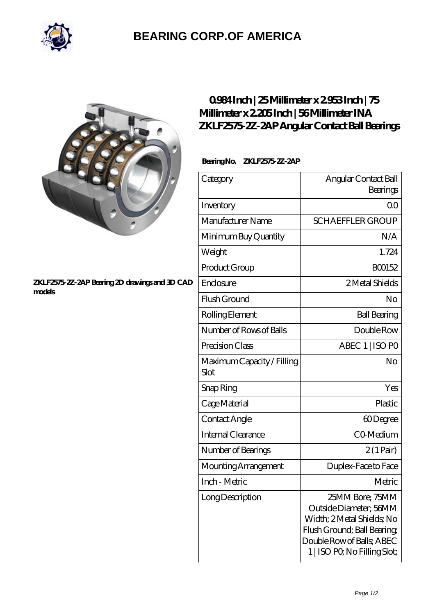

# **[BEARING CORP.OF AMERICA](https://bluemondayreview.com)**



#### **[ZKLF2575-2Z-2AP Bearing 2D drawings and 3D CAD](https://bluemondayreview.com/pic-172885.html) [models](https://bluemondayreview.com/pic-172885.html)**

## **[0.984 Inch | 25 Millimeter x 2.953 Inch | 75](https://bluemondayreview.com/au-172885-ina-zklf2575-2z-2ap-angular-contact-ball-bearings.html) [Millimeter x 2.205 Inch | 56 Millimeter INA](https://bluemondayreview.com/au-172885-ina-zklf2575-2z-2ap-angular-contact-ball-bearings.html) [ZKLF2575-2Z-2AP Angular Contact Ball Bearings](https://bluemondayreview.com/au-172885-ina-zklf2575-2z-2ap-angular-contact-ball-bearings.html)**

### **Bearing No. ZKLF2575-2Z-2AP**

| Category                           | Angular Contact Ball<br>Bearings                                                                                                                                    |
|------------------------------------|---------------------------------------------------------------------------------------------------------------------------------------------------------------------|
| Inventory                          | 0 <sup>0</sup>                                                                                                                                                      |
| Manufacturer Name                  | <b>SCHAEFFLER GROUP</b>                                                                                                                                             |
| Minimum Buy Quantity               | N/A                                                                                                                                                                 |
| Weight                             | 1.724                                                                                                                                                               |
| Product Group                      | BO0152                                                                                                                                                              |
| Enclosure                          | 2 Metal Shields                                                                                                                                                     |
| Flush Ground                       | No                                                                                                                                                                  |
| Rolling Element                    | <b>Ball Bearing</b>                                                                                                                                                 |
| Number of Rows of Balls            | Double Row                                                                                                                                                          |
| Precision Class                    | ABEC 1   ISO PO                                                                                                                                                     |
| Maximum Capacity / Filling<br>Slot | No                                                                                                                                                                  |
| Snap Ring                          | Yes                                                                                                                                                                 |
| Cage Material                      | Plastic                                                                                                                                                             |
| Contact Angle                      | 60Degree                                                                                                                                                            |
| <b>Internal Clearance</b>          | CO-Medium                                                                                                                                                           |
| Number of Bearings                 | $2(1 \text{Pair})$                                                                                                                                                  |
| Mounting Arrangement               | Duplex-Face to Face                                                                                                                                                 |
| Inch - Metric                      | Metric                                                                                                                                                              |
| Long Description                   | 25MM Bore; 75MM<br>Outside Diameter; 56MM<br>Width; 2 Metal Shields; No<br>Flush Ground; Ball Bearing;<br>Double Row of Balls; ABEC<br>1   ISO PO, No Filling Slot; |